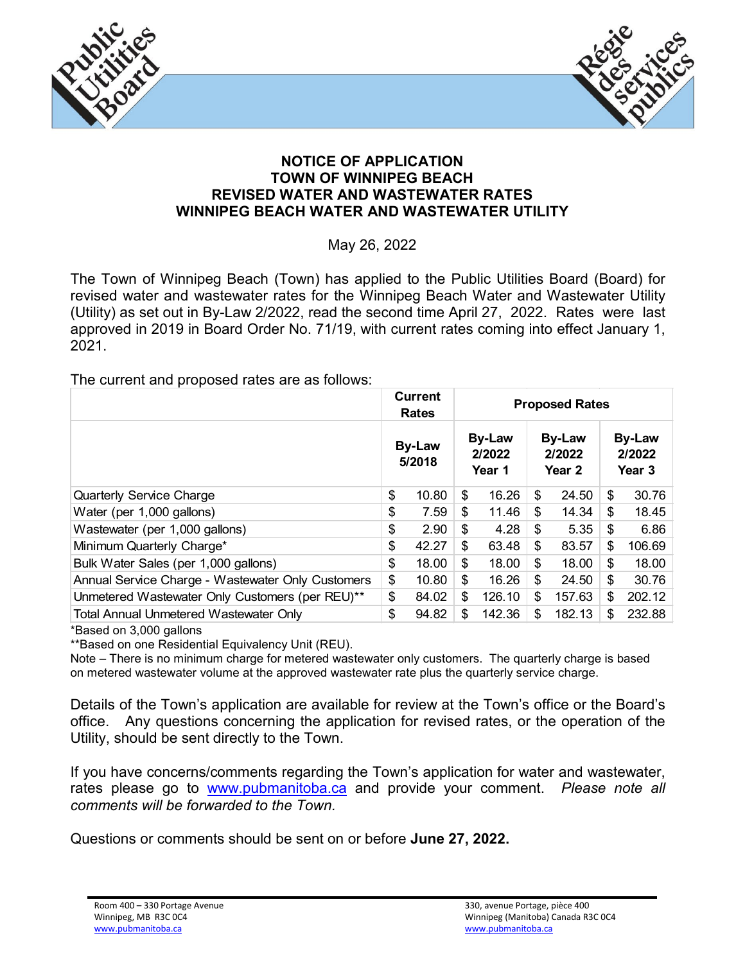



## **NOTICE OF APPLICATION TOWN OF WINNIPEG BEACH REVISED WATER AND WASTEWATER RATES WINNIPEG BEACH WATER AND WASTEWATER UTILITY**

May 26, 2022

The Town of Winnipeg Beach (Town) has applied to the Public Utilities Board (Board) for revised water and wastewater rates for the Winnipeg Beach Water and Wastewater Utility (Utility) as set out in By-Law 2/2022, read the second time April 27, 2022. Rates were last approved in 2019 in Board Order No. 71/19, with current rates coming into effect January 1, 2021.

The current and proposed rates are as follows:

|                                                   |                         | Current<br>Rates | <b>Proposed Rates</b>             |        |                                   |        |                                   |        |
|---------------------------------------------------|-------------------------|------------------|-----------------------------------|--------|-----------------------------------|--------|-----------------------------------|--------|
|                                                   | <b>By-Law</b><br>5/2018 |                  | <b>By-Law</b><br>2/2022<br>Year 1 |        | <b>By-Law</b><br>2/2022<br>Year 2 |        | <b>By-Law</b><br>2/2022<br>Year 3 |        |
| <b>Quarterly Service Charge</b>                   | \$                      | 10.80            | \$                                | 16.26  | \$                                | 24.50  | \$                                | 30.76  |
| Water (per 1,000 gallons)                         | \$                      | 7.59             | \$                                | 11.46  | \$                                | 14.34  | \$                                | 18.45  |
| Wastewater (per 1,000 gallons)                    | \$                      | 2.90             | \$                                | 4.28   | \$                                | 5.35   | \$                                | 6.86   |
| Minimum Quarterly Charge*                         | \$                      | 42.27            | \$                                | 63.48  | \$                                | 83.57  | \$                                | 106.69 |
| Bulk Water Sales (per 1,000 gallons)              | \$                      | 18.00            | \$                                | 18.00  | \$                                | 18.00  | \$                                | 18.00  |
| Annual Service Charge - Wastewater Only Customers | \$                      | 10.80            | \$                                | 16.26  | \$                                | 24.50  | \$                                | 30.76  |
| Unmetered Wastewater Only Customers (per REU)**   | \$                      | 84.02            | \$                                | 126.10 | \$                                | 157.63 | \$                                | 202.12 |
| <b>Total Annual Unmetered Wastewater Only</b>     | \$                      | 94.82            | \$                                | 142.36 | \$                                | 182.13 | \$.                               | 232.88 |

\*Based on 3,000 gallons

\*\*Based on one Residential Equivalency Unit (REU).

Note – There is no minimum charge for metered wastewater only customers. The quarterly charge is based on metered wastewater volume at the approved wastewater rate plus the quarterly service charge.

Details of the Town's application are available for review at the Town's office or the Board's office. Any questions concerning the application for revised rates, or the operation of the Utility, should be sent directly to the Town.

If you have concerns/comments regarding the Town's application for water and wastewater, rates please go to [www.pubmanitoba.ca](http://www.pubmanitoba.ca/) and provide your comment. *Please note all comments will be forwarded to the Town.*

Questions or comments should be sent on or before **June 27, 2022.**